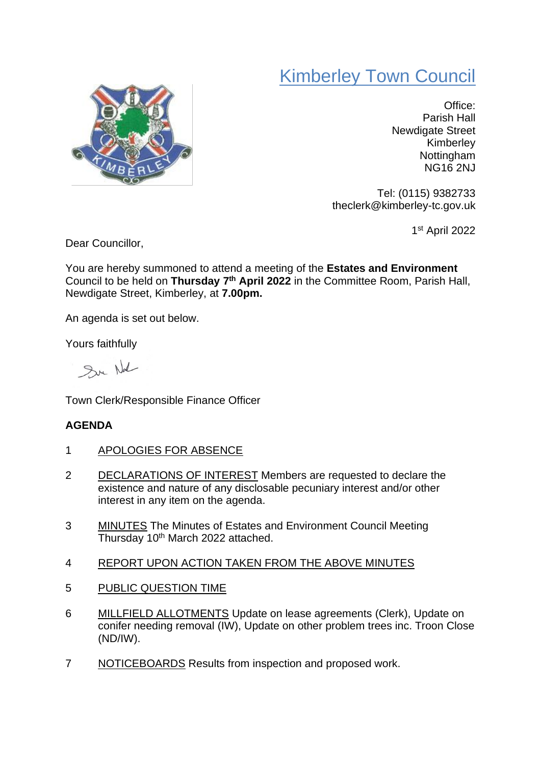## Kimberley Town Council



Office: Parish Hall Newdigate Street Kimberley **Nottingham** NG16 2NJ

Tel: (0115) 9382733 theclerk@kimberley-tc.gov.uk

1 st April 2022

Dear Councillor,

You are hereby summoned to attend a meeting of the **Estates and Environment** Council to be held on **Thursday 7 th April 2022** in the Committee Room, Parish Hall, Newdigate Street, Kimberley, at **7.00pm.**

An agenda is set out below.

Yours faithfully

Sur Not

Town Clerk/Responsible Finance Officer

## **AGENDA**

- 1 APOLOGIES FOR ABSENCE
- 2 DECLARATIONS OF INTEREST Members are requested to declare the existence and nature of any disclosable pecuniary interest and/or other interest in any item on the agenda.
- 3 MINUTES The Minutes of Estates and Environment Council Meeting Thursday 10<sup>th</sup> March 2022 attached.
- 4 REPORT UPON ACTION TAKEN FROM THE ABOVE MINUTES
- 5 PUBLIC QUESTION TIME
- 6 MILLFIELD ALLOTMENTS Update on lease agreements (Clerk), Update on conifer needing removal (IW), Update on other problem trees inc. Troon Close (ND/IW).
- 7 NOTICEBOARDS Results from inspection and proposed work.